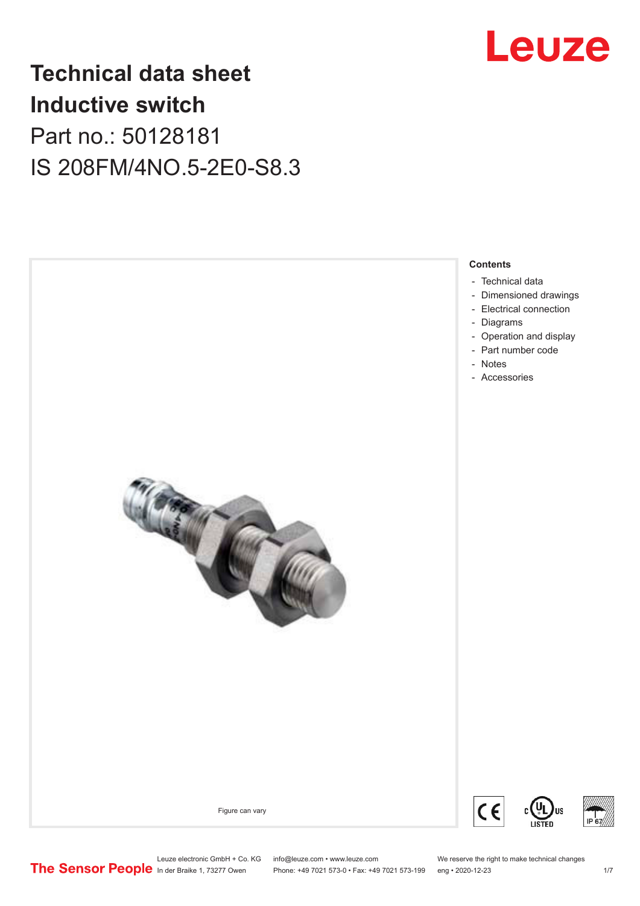

# **Technical data sheet Inductive switch** Part no.: 50128181 IS 208FM/4NO.5-2E0-S8.3

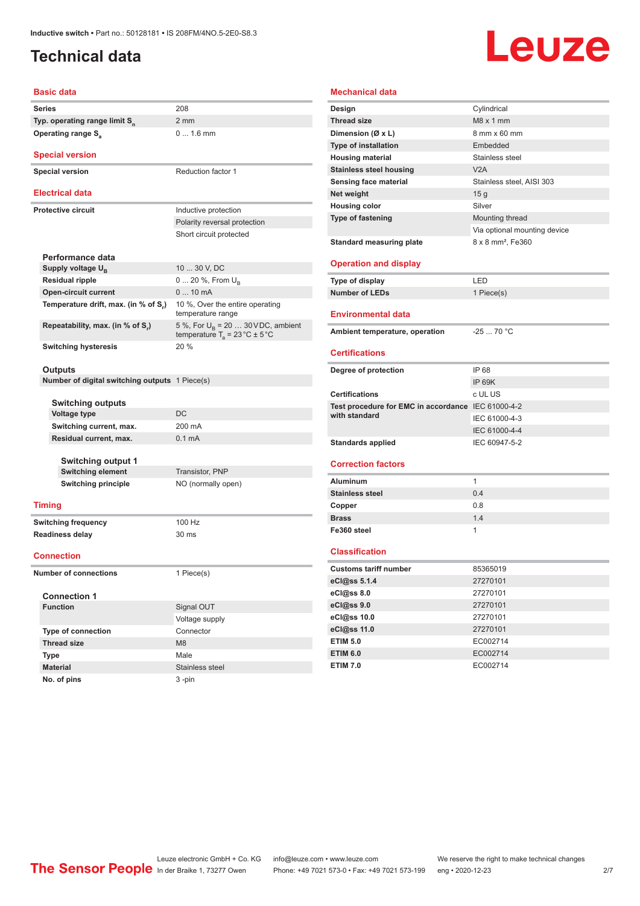# <span id="page-1-0"></span>**Technical data**

# Leuze

#### **Basic data**

| Series                                    | 208 |
|-------------------------------------------|-----|
| Typ. operating range limit S <sub>n</sub> | 2 m |
| Operating range S <sub>3</sub>            |     |

**Special version**

**Special version** Reduction factor 1

#### **Electrical data**

**Protective circuit Inductive protection** 

|                                      | Polarity reversal protection                                                              |
|--------------------------------------|-------------------------------------------------------------------------------------------|
|                                      | Short circuit protected                                                                   |
| Performance data                     |                                                                                           |
| Supply voltage $U_{B}$               | 10  30 V, DC                                                                              |
| <b>Residual ripple</b>               | $0 20 \%$ , From $U_{\rm B}$                                                              |
| <b>Open-circuit current</b>          | $010$ mA                                                                                  |
| Temperature drift, max. (in % of S.) | 10 %, Over the entire operating<br>temperature range                                      |
| Repeatability, max. (in % of S.)     | 5 %, For $U_R$ = 20  30 V DC, ambient<br>temperature $T_a = 23 \degree C \pm 5 \degree C$ |
| <b>Switching hysteresis</b>          | 20%                                                                                       |

2 mm

0 ... 1.6 mm

#### **Outputs**

**Number of digital switching outputs** 1 Piece(s)

| Switching current, max.<br>200 mA          |  |
|--------------------------------------------|--|
| Residual current, max.<br>$0.1 \text{ mA}$ |  |

**Switching output 1 Switching element** Transistor, PNP **Switching principle** NO (normally open)

#### **Timing**

**Switching frequency** 100 Hz **Readiness delay** 30 ms

#### **Connection**

**Number of connections** 1 Piece(s)

#### **Connection 1**

| <b>Function</b>           | Signal OUT      |
|---------------------------|-----------------|
|                           | Voltage supply  |
| <b>Type of connection</b> | Connector       |
| <b>Thread size</b>        | M8              |
| <b>Type</b>               | Male            |
| <b>Material</b>           | Stainless steel |
| No. of pins               | $3 - pin$       |

| <b>Mechanical data</b>                             |                               |
|----------------------------------------------------|-------------------------------|
| Design                                             | Cylindrical                   |
| <b>Thread size</b>                                 | $M8 \times 1$ mm              |
| Dimension (Ø x L)                                  | 8 mm x 60 mm                  |
| Type of installation                               | Embedded                      |
| <b>Housing material</b>                            | Stainless steel               |
| <b>Stainless steel housing</b>                     | V2A                           |
| Sensing face material                              | Stainless steel, AISI 303     |
| Net weight                                         | 15 <sub>g</sub>               |
| <b>Housing color</b>                               | Silver                        |
| Type of fastening                                  | Mounting thread               |
|                                                    | Via optional mounting device  |
| <b>Standard measuring plate</b>                    | 8 x 8 mm <sup>2</sup> , Fe360 |
|                                                    |                               |
| <b>Operation and display</b>                       |                               |
| Type of display                                    | LED                           |
| <b>Number of LEDs</b>                              | 1 Piece(s)                    |
|                                                    |                               |
| <b>Environmental data</b>                          |                               |
| Ambient temperature, operation                     | $-2570 °C$                    |
|                                                    |                               |
| <b>Certifications</b>                              |                               |
|                                                    |                               |
| Degree of protection                               | IP 68                         |
|                                                    | <b>IP 69K</b>                 |
| <b>Certifications</b>                              | c UL US                       |
| Test procedure for EMC in accordance IEC 61000-4-2 |                               |
| with standard                                      | IEC 61000-4-3                 |
|                                                    | IEC 61000-4-4                 |
| <b>Standards applied</b>                           | IEC 60947-5-2                 |
|                                                    |                               |
| <b>Correction factors</b>                          |                               |
| <b>Aluminum</b>                                    | $\mathbf{1}$                  |
| <b>Stainless steel</b>                             | 0.4                           |
| Copper                                             | 0.8                           |
| <b>Brass</b>                                       | 1.4                           |
| Fe360 steel                                        | $\mathbf{1}$                  |
|                                                    |                               |
| <b>Classification</b>                              |                               |
| <b>Customs tariff number</b>                       | 85365019                      |
| eCl@ss 5.1.4                                       | 27270101                      |
| eCl@ss 8.0                                         | 27270101                      |
| eCl@ss 9.0                                         | 27270101                      |
| eCl@ss 10.0                                        | 27270101                      |
| eCl@ss 11.0<br><b>ETIM 5.0</b>                     | 27270101<br>EC002714          |

**ETIM 6.0** EC002714 **ETIM 7.0** EC002714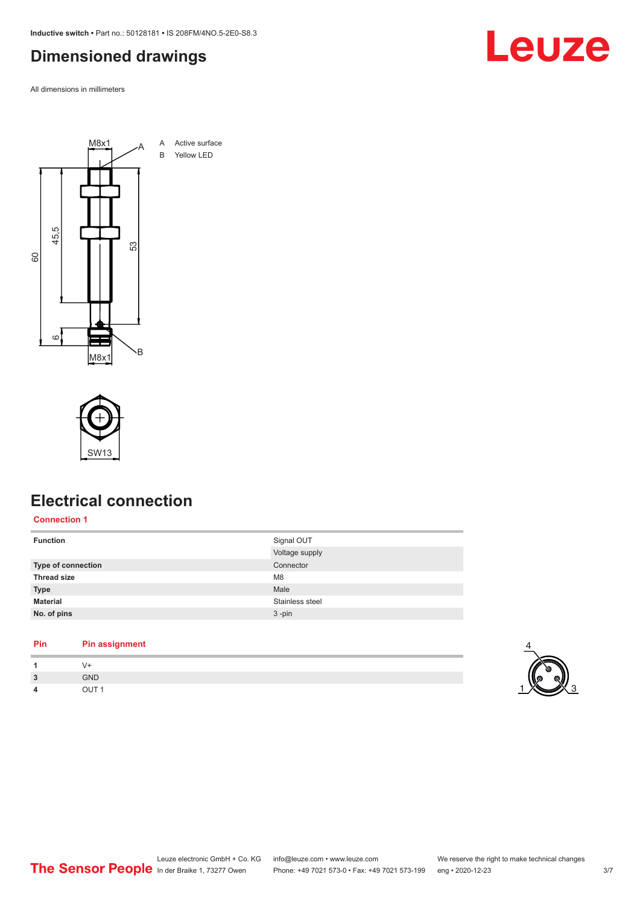<span id="page-2-0"></span>**Inductive switch •** Part no.: 50128181 **•** IS 208FM/4NO.5-2E0-S8.3

# **Dimensioned drawings**

All dimensions in millimeters





# **Electrical connection**

**Connection 1**

| <b>Function</b>    | Signal OUT      |
|--------------------|-----------------|
|                    | Voltage supply  |
| Type of connection | Connector       |
| <b>Thread size</b> | M <sub>8</sub>  |
| <b>Type</b>        | Male            |
| <b>Material</b>    | Stainless steel |
| No. of pins        | $3 - pin$       |
|                    |                 |

#### **Pin Pin assignment 1** V+

| $\overline{\mathbf{z}}$ | <b>GND</b>       |
|-------------------------|------------------|
|                         | OUT <sub>1</sub> |

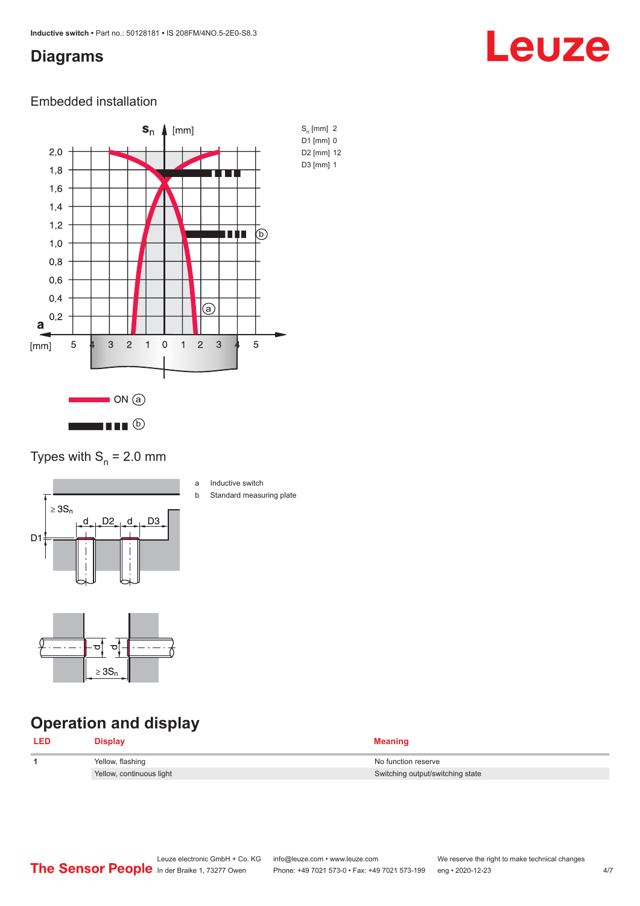# <span id="page-3-0"></span>**Diagrams**

# Leuze

### Embedded installation



### Types with  $S_n = 2.0$  mm



- a Inductive switch
- b Standard measuring plate



# **Operation and display**

| <b>LED</b> | Display                  | <b>Meaning</b>                   |
|------------|--------------------------|----------------------------------|
|            | Yellow, flashing         | No function reserve              |
|            | Yellow, continuous light | Switching output/switching state |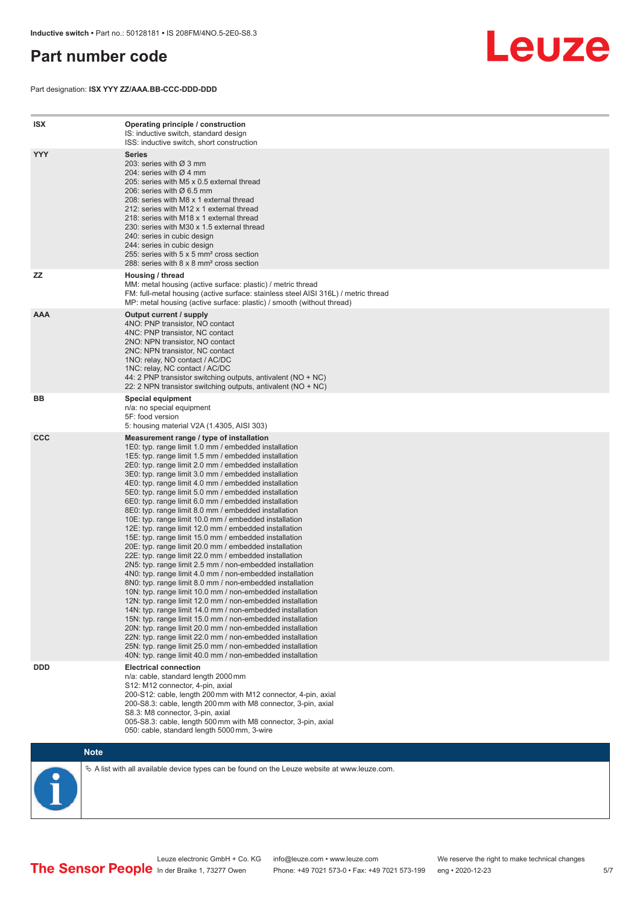# <span id="page-4-0"></span>**Part number code**

Part designation: **ISX YYY ZZ/AAA.BB-CCC-DDD-DDD**



| ISX        | Operating principle / construction<br>IS: inductive switch, standard design<br>ISS: inductive switch, short construction                                                                                                                                                                                                                                                                                                                                                                                                                                                                                                                                                                                                                                                                                                                                                                                                                                                                                                                                                                                                                                                                                                                                                                                                                                                                                                                                                                          |
|------------|---------------------------------------------------------------------------------------------------------------------------------------------------------------------------------------------------------------------------------------------------------------------------------------------------------------------------------------------------------------------------------------------------------------------------------------------------------------------------------------------------------------------------------------------------------------------------------------------------------------------------------------------------------------------------------------------------------------------------------------------------------------------------------------------------------------------------------------------------------------------------------------------------------------------------------------------------------------------------------------------------------------------------------------------------------------------------------------------------------------------------------------------------------------------------------------------------------------------------------------------------------------------------------------------------------------------------------------------------------------------------------------------------------------------------------------------------------------------------------------------------|
| <b>YYY</b> | <b>Series</b><br>203: series with Ø 3 mm<br>204: series with $\varnothing$ 4 mm<br>205: series with M5 x 0.5 external thread<br>206: series with $\varnothing$ 6.5 mm<br>208: series with M8 x 1 external thread<br>212: series with M12 x 1 external thread<br>218: series with M18 x 1 external thread<br>230: series with M30 x 1.5 external thread<br>240: series in cubic design<br>244: series in cubic design<br>255: series with 5 x 5 mm <sup>2</sup> cross section<br>288: series with 8 x 8 mm <sup>2</sup> cross section                                                                                                                                                                                                                                                                                                                                                                                                                                                                                                                                                                                                                                                                                                                                                                                                                                                                                                                                                              |
| <b>ZZ</b>  | Housing / thread<br>MM: metal housing (active surface: plastic) / metric thread<br>FM: full-metal housing (active surface: stainless steel AISI 316L) / metric thread<br>MP: metal housing (active surface: plastic) / smooth (without thread)                                                                                                                                                                                                                                                                                                                                                                                                                                                                                                                                                                                                                                                                                                                                                                                                                                                                                                                                                                                                                                                                                                                                                                                                                                                    |
| <b>AAA</b> | Output current / supply<br>4NO: PNP transistor, NO contact<br>4NC: PNP transistor, NC contact<br>2NO: NPN transistor, NO contact<br>2NC: NPN transistor, NC contact<br>1NO: relay, NO contact / AC/DC<br>1NC: relay, NC contact / AC/DC<br>44: 2 PNP transistor switching outputs, antivalent (NO + NC)<br>22: 2 NPN transistor switching outputs, antivalent (NO + NC)                                                                                                                                                                                                                                                                                                                                                                                                                                                                                                                                                                                                                                                                                                                                                                                                                                                                                                                                                                                                                                                                                                                           |
| BВ         | Special equipment<br>n/a: no special equipment<br>5F: food version<br>5: housing material V2A (1.4305, AISI 303)                                                                                                                                                                                                                                                                                                                                                                                                                                                                                                                                                                                                                                                                                                                                                                                                                                                                                                                                                                                                                                                                                                                                                                                                                                                                                                                                                                                  |
| <b>CCC</b> | Measurement range / type of installation<br>1E0: typ. range limit 1.0 mm / embedded installation<br>1E5: typ. range limit 1.5 mm / embedded installation<br>2E0: typ. range limit 2.0 mm / embedded installation<br>3E0: typ. range limit 3.0 mm / embedded installation<br>4E0: typ. range limit 4.0 mm / embedded installation<br>5E0: typ. range limit 5.0 mm / embedded installation<br>6E0: typ. range limit 6.0 mm / embedded installation<br>8E0: typ. range limit 8.0 mm / embedded installation<br>10E: typ. range limit 10.0 mm / embedded installation<br>12E: typ. range limit 12.0 mm / embedded installation<br>15E: typ. range limit 15.0 mm / embedded installation<br>20E: typ. range limit 20.0 mm / embedded installation<br>22E: typ. range limit 22.0 mm / embedded installation<br>2N5: typ. range limit 2.5 mm / non-embedded installation<br>4N0: typ. range limit 4.0 mm / non-embedded installation<br>8N0: typ. range limit 8.0 mm / non-embedded installation<br>10N: typ. range limit 10.0 mm / non-embedded installation<br>12N: typ. range limit 12.0 mm / non-embedded installation<br>14N: typ. range limit 14.0 mm / non-embedded installation<br>15N: typ. range limit 15.0 mm / non-embedded installation<br>20N: typ. range limit 20.0 mm / non-embedded installation<br>22N: typ. range limit 22.0 mm / non-embedded installation<br>25N: typ. range limit 25.0 mm / non-embedded installation<br>40N: typ. range limit 40.0 mm / non-embedded installation |
| <b>DDD</b> | <b>Electrical connection</b><br>n/a: cable, standard length 2000 mm<br>S12: M12 connector, 4-pin, axial<br>200-S12: cable, length 200 mm with M12 connector, 4-pin, axial<br>200-S8.3: cable, length 200 mm with M8 connector, 3-pin, axial<br>S8.3: M8 connector, 3-pin, axial<br>005-S8.3: cable, length 500 mm with M8 connector, 3-pin, axial<br>050: cable, standard length 5000 mm, 3-wire                                                                                                                                                                                                                                                                                                                                                                                                                                                                                                                                                                                                                                                                                                                                                                                                                                                                                                                                                                                                                                                                                                  |



 $\%$  A list with all available device types can be found on the Leuze website at www.leuze.com.

Leuze electronic GmbH + Co. KG info@leuze.com • www.leuze.com We reserve the right to make technical changes In der Braike 1, 73277 Owen Phone: +49 7021 573-0 • Fax: +49 7021 573-199 eng • 2020-12-23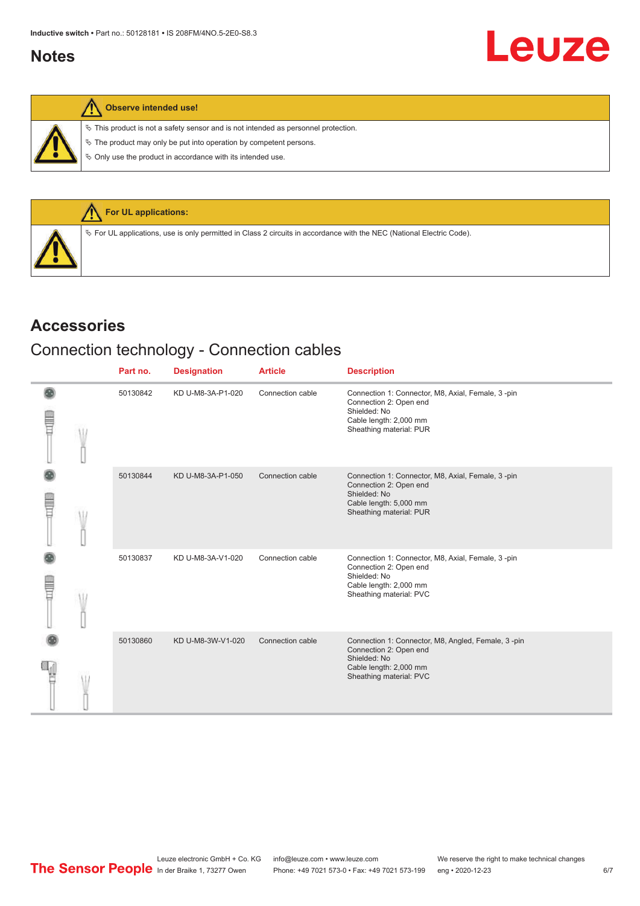# <span id="page-5-0"></span>**Notes**

|  |  | Observe intended use! |  |
|--|--|-----------------------|--|
|--|--|-----------------------|--|

 $\%$  This product is not a safety sensor and is not intended as personnel protection.

 $\&$  The product may only be put into operation by competent persons.

 $\%$  Only use the product in accordance with its intended use.



## **Accessories**

# Connection technology - Connection cables

|             | Part no. | <b>Designation</b> | <b>Article</b>   | <b>Description</b>                                                                                                                                |
|-------------|----------|--------------------|------------------|---------------------------------------------------------------------------------------------------------------------------------------------------|
| <b>TILL</b> | 50130842 | KD U-M8-3A-P1-020  | Connection cable | Connection 1: Connector, M8, Axial, Female, 3-pin<br>Connection 2: Open end<br>Shielded: No<br>Cable length: 2,000 mm<br>Sheathing material: PUR  |
| <b>TILL</b> | 50130844 | KD U-M8-3A-P1-050  | Connection cable | Connection 1: Connector, M8, Axial, Female, 3-pin<br>Connection 2: Open end<br>Shielded: No<br>Cable length: 5,000 mm<br>Sheathing material: PUR  |
| E           | 50130837 | KD U-M8-3A-V1-020  | Connection cable | Connection 1: Connector, M8, Axial, Female, 3-pin<br>Connection 2: Open end<br>Shielded: No<br>Cable length: 2,000 mm<br>Sheathing material: PVC  |
|             | 50130860 | KD U-M8-3W-V1-020  | Connection cable | Connection 1: Connector, M8, Angled, Female, 3-pin<br>Connection 2: Open end<br>Shielded: No<br>Cable length: 2,000 mm<br>Sheathing material: PVC |

**Leuze**